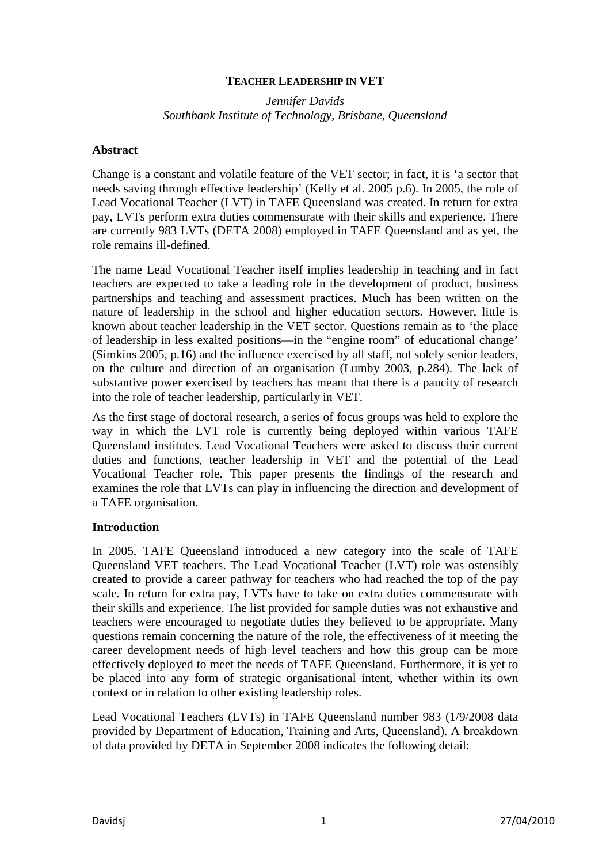## **TEACHER LEADERSHIP IN VET**

*Jennifer Davids Southbank Institute of Technology, Brisbane, Queensland* 

#### **Abstract**

Change is a constant and volatile feature of the VET sector; in fact, it is 'a sector that needs saving through effective leadership' (Kelly et al. 2005 p.6). In 2005, the role of Lead Vocational Teacher (LVT) in TAFE Queensland was created. In return for extra pay, LVTs perform extra duties commensurate with their skills and experience. There are currently 983 LVTs (DETA 2008) employed in TAFE Queensland and as yet, the role remains ill-defined.

The name Lead Vocational Teacher itself implies leadership in teaching and in fact teachers are expected to take a leading role in the development of product, business partnerships and teaching and assessment practices. Much has been written on the nature of leadership in the school and higher education sectors. However, little is known about teacher leadership in the VET sector. Questions remain as to 'the place of leadership in less exalted positions—in the "engine room" of educational change' (Simkins 2005, p.16) and the influence exercised by all staff, not solely senior leaders, on the culture and direction of an organisation (Lumby 2003, p.284). The lack of substantive power exercised by teachers has meant that there is a paucity of research into the role of teacher leadership, particularly in VET.

As the first stage of doctoral research, a series of focus groups was held to explore the way in which the LVT role is currently being deployed within various TAFE Queensland institutes. Lead Vocational Teachers were asked to discuss their current duties and functions, teacher leadership in VET and the potential of the Lead Vocational Teacher role. This paper presents the findings of the research and examines the role that LVTs can play in influencing the direction and development of a TAFE organisation.

#### **Introduction**

In 2005, TAFE Queensland introduced a new category into the scale of TAFE Queensland VET teachers. The Lead Vocational Teacher (LVT) role was ostensibly created to provide a career pathway for teachers who had reached the top of the pay scale. In return for extra pay, LVTs have to take on extra duties commensurate with their skills and experience. The list provided for sample duties was not exhaustive and teachers were encouraged to negotiate duties they believed to be appropriate. Many questions remain concerning the nature of the role, the effectiveness of it meeting the career development needs of high level teachers and how this group can be more effectively deployed to meet the needs of TAFE Queensland. Furthermore, it is yet to be placed into any form of strategic organisational intent, whether within its own context or in relation to other existing leadership roles.

Lead Vocational Teachers (LVTs) in TAFE Queensland number 983 (1/9/2008 data provided by Department of Education, Training and Arts, Queensland). A breakdown of data provided by DETA in September 2008 indicates the following detail: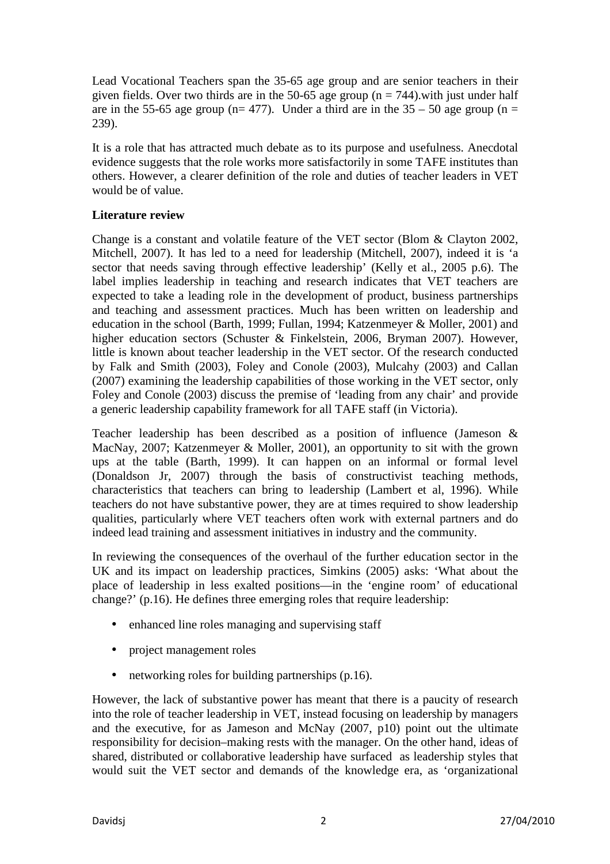Lead Vocational Teachers span the 35-65 age group and are senior teachers in their given fields. Over two thirds are in the 50-65 age group ( $n = 744$ ), with just under half are in the 55-65 age group ( $n= 477$ ). Under a third are in the 35 – 50 age group ( $n =$ 239).

It is a role that has attracted much debate as to its purpose and usefulness. Anecdotal evidence suggests that the role works more satisfactorily in some TAFE institutes than others. However, a clearer definition of the role and duties of teacher leaders in VET would be of value.

# **Literature review**

Change is a constant and volatile feature of the VET sector (Blom & Clayton 2002, Mitchell, 2007). It has led to a need for leadership (Mitchell, 2007), indeed it is 'a sector that needs saving through effective leadership' (Kelly et al., 2005 p.6). The label implies leadership in teaching and research indicates that VET teachers are expected to take a leading role in the development of product, business partnerships and teaching and assessment practices. Much has been written on leadership and education in the school (Barth, 1999; Fullan, 1994; Katzenmeyer & Moller, 2001) and higher education sectors (Schuster & Finkelstein, 2006, Bryman 2007). However, little is known about teacher leadership in the VET sector. Of the research conducted by Falk and Smith (2003), Foley and Conole (2003), Mulcahy (2003) and Callan (2007) examining the leadership capabilities of those working in the VET sector, only Foley and Conole (2003) discuss the premise of 'leading from any chair' and provide a generic leadership capability framework for all TAFE staff (in Victoria).

Teacher leadership has been described as a position of influence (Jameson & MacNay, 2007; Katzenmeyer & Moller, 2001), an opportunity to sit with the grown ups at the table (Barth, 1999). It can happen on an informal or formal level (Donaldson Jr, 2007) through the basis of constructivist teaching methods, characteristics that teachers can bring to leadership (Lambert et al, 1996). While teachers do not have substantive power, they are at times required to show leadership qualities, particularly where VET teachers often work with external partners and do indeed lead training and assessment initiatives in industry and the community.

In reviewing the consequences of the overhaul of the further education sector in the UK and its impact on leadership practices, Simkins (2005) asks: 'What about the place of leadership in less exalted positions—in the 'engine room' of educational change?' (p.16). He defines three emerging roles that require leadership:

- enhanced line roles managing and supervising staff
- project management roles
- networking roles for building partnerships (p.16).

However, the lack of substantive power has meant that there is a paucity of research into the role of teacher leadership in VET, instead focusing on leadership by managers and the executive, for as Jameson and McNay (2007, p10) point out the ultimate responsibility for decision–making rests with the manager. On the other hand, ideas of shared, distributed or collaborative leadership have surfaced as leadership styles that would suit the VET sector and demands of the knowledge era, as 'organizational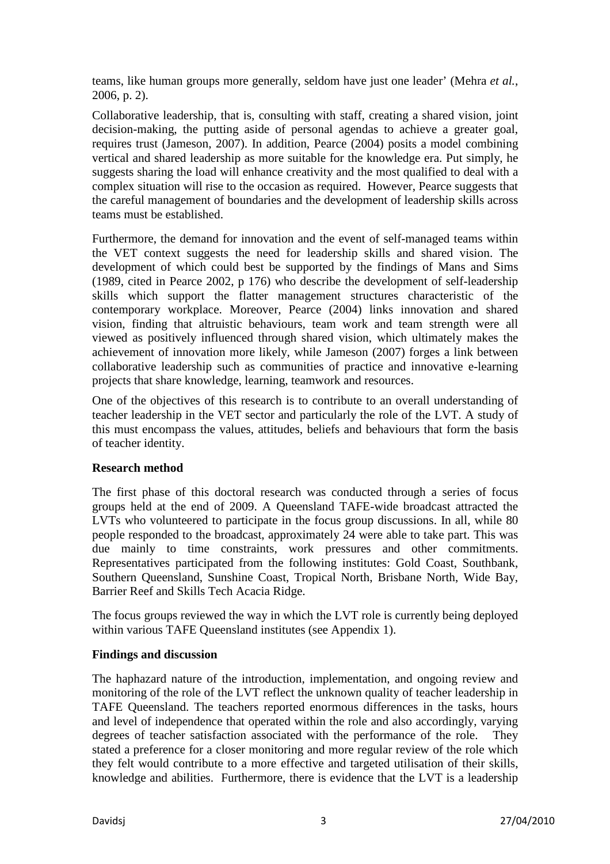teams, like human groups more generally, seldom have just one leader' (Mehra *et al.*, 2006, p. 2).

Collaborative leadership, that is, consulting with staff, creating a shared vision, joint decision-making, the putting aside of personal agendas to achieve a greater goal, requires trust (Jameson, 2007). In addition, Pearce (2004) posits a model combining vertical and shared leadership as more suitable for the knowledge era. Put simply, he suggests sharing the load will enhance creativity and the most qualified to deal with a complex situation will rise to the occasion as required. However, Pearce suggests that the careful management of boundaries and the development of leadership skills across teams must be established.

Furthermore, the demand for innovation and the event of self-managed teams within the VET context suggests the need for leadership skills and shared vision. The development of which could best be supported by the findings of Mans and Sims (1989, cited in Pearce 2002, p 176) who describe the development of self-leadership skills which support the flatter management structures characteristic of the contemporary workplace. Moreover, Pearce (2004) links innovation and shared vision, finding that altruistic behaviours, team work and team strength were all viewed as positively influenced through shared vision, which ultimately makes the achievement of innovation more likely, while Jameson (2007) forges a link between collaborative leadership such as communities of practice and innovative e-learning projects that share knowledge, learning, teamwork and resources.

One of the objectives of this research is to contribute to an overall understanding of teacher leadership in the VET sector and particularly the role of the LVT. A study of this must encompass the values, attitudes, beliefs and behaviours that form the basis of teacher identity.

# **Research method**

The first phase of this doctoral research was conducted through a series of focus groups held at the end of 2009. A Queensland TAFE-wide broadcast attracted the LVTs who volunteered to participate in the focus group discussions. In all, while 80 people responded to the broadcast, approximately 24 were able to take part. This was due mainly to time constraints, work pressures and other commitments. Representatives participated from the following institutes: Gold Coast, Southbank, Southern Queensland, Sunshine Coast, Tropical North, Brisbane North, Wide Bay, Barrier Reef and Skills Tech Acacia Ridge.

The focus groups reviewed the way in which the LVT role is currently being deployed within various TAFE Queensland institutes (see Appendix 1).

#### **Findings and discussion**

The haphazard nature of the introduction, implementation, and ongoing review and monitoring of the role of the LVT reflect the unknown quality of teacher leadership in TAFE Queensland. The teachers reported enormous differences in the tasks, hours and level of independence that operated within the role and also accordingly, varying degrees of teacher satisfaction associated with the performance of the role. They stated a preference for a closer monitoring and more regular review of the role which they felt would contribute to a more effective and targeted utilisation of their skills, knowledge and abilities. Furthermore, there is evidence that the LVT is a leadership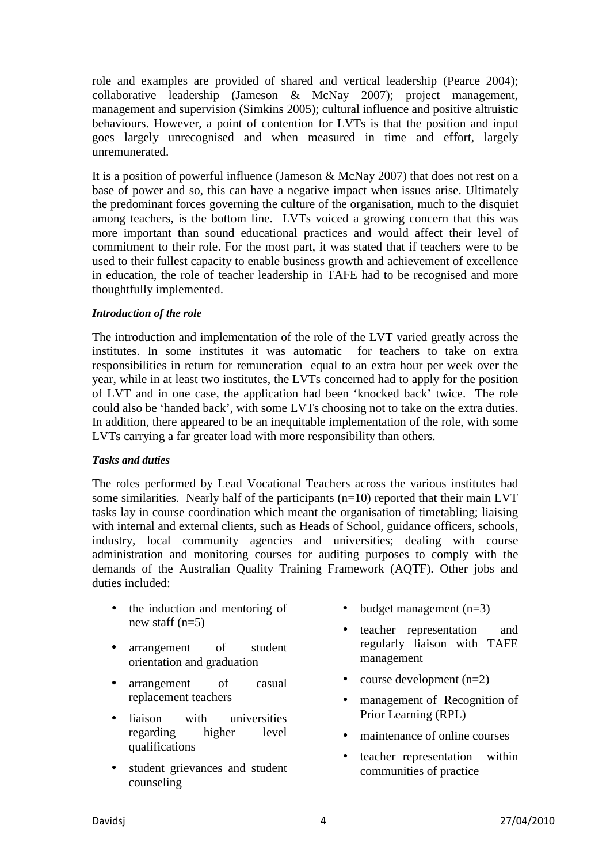role and examples are provided of shared and vertical leadership (Pearce 2004); collaborative leadership (Jameson & McNay 2007); project management, management and supervision (Simkins 2005); cultural influence and positive altruistic behaviours. However, a point of contention for LVTs is that the position and input goes largely unrecognised and when measured in time and effort, largely unremunerated.

It is a position of powerful influence (Jameson & McNay 2007) that does not rest on a base of power and so, this can have a negative impact when issues arise. Ultimately the predominant forces governing the culture of the organisation, much to the disquiet among teachers, is the bottom line. LVTs voiced a growing concern that this was more important than sound educational practices and would affect their level of commitment to their role. For the most part, it was stated that if teachers were to be used to their fullest capacity to enable business growth and achievement of excellence in education, the role of teacher leadership in TAFE had to be recognised and more thoughtfully implemented.

#### *Introduction of the role*

The introduction and implementation of the role of the LVT varied greatly across the institutes. In some institutes it was automatic for teachers to take on extra responsibilities in return for remuneration equal to an extra hour per week over the year, while in at least two institutes, the LVTs concerned had to apply for the position of LVT and in one case, the application had been 'knocked back' twice. The role could also be 'handed back', with some LVTs choosing not to take on the extra duties. In addition, there appeared to be an inequitable implementation of the role, with some LVTs carrying a far greater load with more responsibility than others.

#### *Tasks and duties*

The roles performed by Lead Vocational Teachers across the various institutes had some similarities. Nearly half of the participants  $(n=10)$  reported that their main LVT tasks lay in course coordination which meant the organisation of timetabling; liaising with internal and external clients, such as Heads of School, guidance officers, schools, industry, local community agencies and universities; dealing with course administration and monitoring courses for auditing purposes to comply with the demands of the Australian Quality Training Framework (AQTF). Other jobs and duties included:

- the induction and mentoring of new staff  $(n=5)$
- arrangement of student orientation and graduation
- arrangement of casual replacement teachers
- liaison with universities regarding higher level qualifications
- student grievances and student counseling
- budget management  $(n=3)$
- teacher representation and regularly liaison with TAFE management
- course development  $(n=2)$
- management of Recognition of Prior Learning (RPL)
- maintenance of online courses
- teacher representation within communities of practice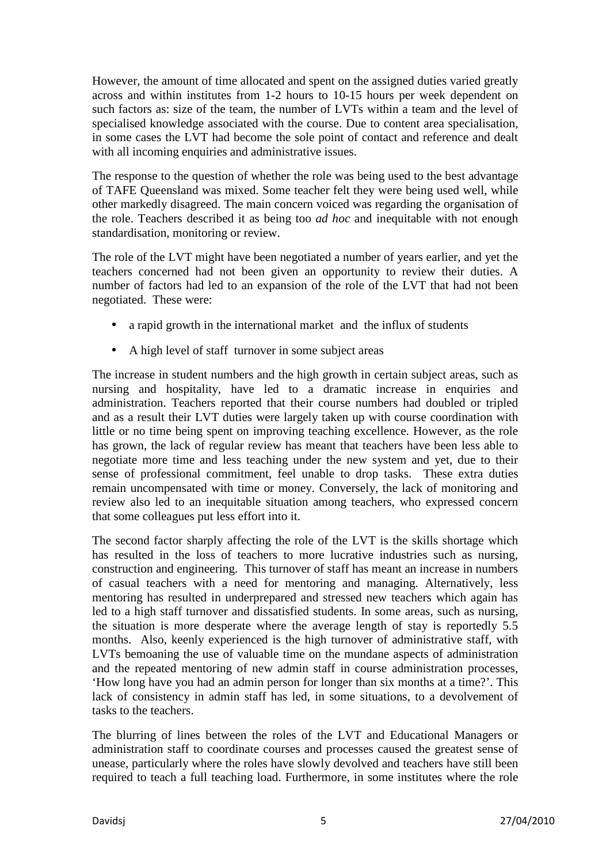However, the amount of time allocated and spent on the assigned duties varied greatly across and within institutes from 1-2 hours to 10-15 hours per week dependent on such factors as: size of the team, the number of LVTs within a team and the level of specialised knowledge associated with the course. Due to content area specialisation, in some cases the LVT had become the sole point of contact and reference and dealt with all incoming enquiries and administrative issues.

The response to the question of whether the role was being used to the best advantage of TAFE Queensland was mixed. Some teacher felt they were being used well, while other markedly disagreed. The main concern voiced was regarding the organisation of the role. Teachers described it as being too *ad hoc* and inequitable with not enough standardisation, monitoring or review.

The role of the LVT might have been negotiated a number of years earlier, and yet the teachers concerned had not been given an opportunity to review their duties. A number of factors had led to an expansion of the role of the LVT that had not been negotiated. These were:

- a rapid growth in the international market and the influx of students
- A high level of staff turnover in some subject areas

The increase in student numbers and the high growth in certain subject areas, such as nursing and hospitality, have led to a dramatic increase in enquiries and administration. Teachers reported that their course numbers had doubled or tripled and as a result their LVT duties were largely taken up with course coordination with little or no time being spent on improving teaching excellence. However, as the role has grown, the lack of regular review has meant that teachers have been less able to negotiate more time and less teaching under the new system and yet, due to their sense of professional commitment, feel unable to drop tasks. These extra duties remain uncompensated with time or money. Conversely, the lack of monitoring and review also led to an inequitable situation among teachers, who expressed concern that some colleagues put less effort into it.

The second factor sharply affecting the role of the LVT is the skills shortage which has resulted in the loss of teachers to more lucrative industries such as nursing, construction and engineering. This turnover of staff has meant an increase in numbers of casual teachers with a need for mentoring and managing. Alternatively, less mentoring has resulted in underprepared and stressed new teachers which again has led to a high staff turnover and dissatisfied students. In some areas, such as nursing, the situation is more desperate where the average length of stay is reportedly 5.5 months. Also, keenly experienced is the high turnover of administrative staff, with LVTs bemoaning the use of valuable time on the mundane aspects of administration and the repeated mentoring of new admin staff in course administration processes, 'How long have you had an admin person for longer than six months at a time?'. This lack of consistency in admin staff has led, in some situations, to a devolvement of tasks to the teachers.

The blurring of lines between the roles of the LVT and Educational Managers or administration staff to coordinate courses and processes caused the greatest sense of unease, particularly where the roles have slowly devolved and teachers have still been required to teach a full teaching load. Furthermore, in some institutes where the role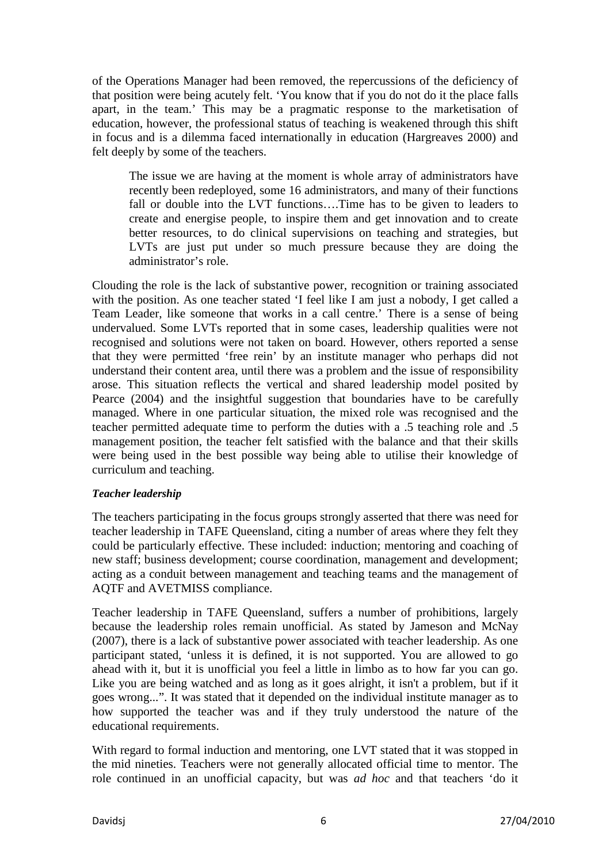of the Operations Manager had been removed, the repercussions of the deficiency of that position were being acutely felt. 'You know that if you do not do it the place falls apart, in the team.' This may be a pragmatic response to the marketisation of education, however, the professional status of teaching is weakened through this shift in focus and is a dilemma faced internationally in education (Hargreaves 2000) and felt deeply by some of the teachers.

The issue we are having at the moment is whole array of administrators have recently been redeployed, some 16 administrators, and many of their functions fall or double into the LVT functions….Time has to be given to leaders to create and energise people, to inspire them and get innovation and to create better resources, to do clinical supervisions on teaching and strategies, but LVTs are just put under so much pressure because they are doing the administrator's role.

Clouding the role is the lack of substantive power, recognition or training associated with the position. As one teacher stated 'I feel like I am just a nobody, I get called a Team Leader, like someone that works in a call centre.' There is a sense of being undervalued. Some LVTs reported that in some cases, leadership qualities were not recognised and solutions were not taken on board. However, others reported a sense that they were permitted 'free rein' by an institute manager who perhaps did not understand their content area, until there was a problem and the issue of responsibility arose. This situation reflects the vertical and shared leadership model posited by Pearce (2004) and the insightful suggestion that boundaries have to be carefully managed. Where in one particular situation, the mixed role was recognised and the teacher permitted adequate time to perform the duties with a .5 teaching role and .5 management position, the teacher felt satisfied with the balance and that their skills were being used in the best possible way being able to utilise their knowledge of curriculum and teaching.

#### *Teacher leadership*

The teachers participating in the focus groups strongly asserted that there was need for teacher leadership in TAFE Queensland, citing a number of areas where they felt they could be particularly effective. These included: induction; mentoring and coaching of new staff; business development; course coordination, management and development; acting as a conduit between management and teaching teams and the management of AQTF and AVETMISS compliance.

Teacher leadership in TAFE Queensland, suffers a number of prohibitions, largely because the leadership roles remain unofficial. As stated by Jameson and McNay (2007), there is a lack of substantive power associated with teacher leadership. As one participant stated, 'unless it is defined, it is not supported. You are allowed to go ahead with it, but it is unofficial you feel a little in limbo as to how far you can go. Like you are being watched and as long as it goes alright, it isn't a problem, but if it goes wrong...". It was stated that it depended on the individual institute manager as to how supported the teacher was and if they truly understood the nature of the educational requirements.

With regard to formal induction and mentoring, one LVT stated that it was stopped in the mid nineties. Teachers were not generally allocated official time to mentor. The role continued in an unofficial capacity, but was *ad hoc* and that teachers 'do it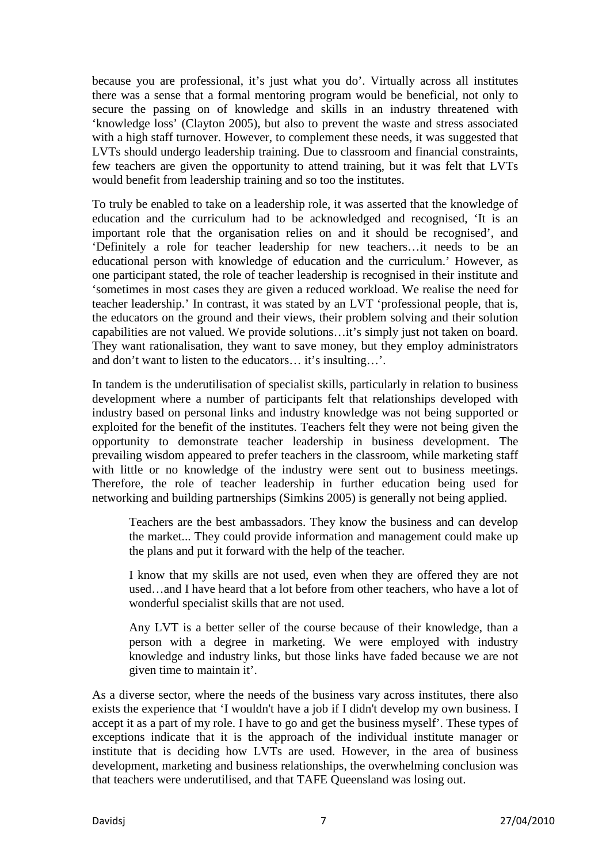because you are professional, it's just what you do'. Virtually across all institutes there was a sense that a formal mentoring program would be beneficial, not only to secure the passing on of knowledge and skills in an industry threatened with 'knowledge loss' (Clayton 2005), but also to prevent the waste and stress associated with a high staff turnover. However, to complement these needs, it was suggested that LVTs should undergo leadership training. Due to classroom and financial constraints, few teachers are given the opportunity to attend training, but it was felt that LVTs would benefit from leadership training and so too the institutes.

To truly be enabled to take on a leadership role, it was asserted that the knowledge of education and the curriculum had to be acknowledged and recognised, 'It is an important role that the organisation relies on and it should be recognised', and 'Definitely a role for teacher leadership for new teachers…it needs to be an educational person with knowledge of education and the curriculum.' However, as one participant stated, the role of teacher leadership is recognised in their institute and 'sometimes in most cases they are given a reduced workload. We realise the need for teacher leadership.' In contrast, it was stated by an LVT 'professional people, that is, the educators on the ground and their views, their problem solving and their solution capabilities are not valued. We provide solutions…it's simply just not taken on board. They want rationalisation, they want to save money, but they employ administrators and don't want to listen to the educators… it's insulting…'.

In tandem is the underutilisation of specialist skills, particularly in relation to business development where a number of participants felt that relationships developed with industry based on personal links and industry knowledge was not being supported or exploited for the benefit of the institutes. Teachers felt they were not being given the opportunity to demonstrate teacher leadership in business development. The prevailing wisdom appeared to prefer teachers in the classroom, while marketing staff with little or no knowledge of the industry were sent out to business meetings. Therefore, the role of teacher leadership in further education being used for networking and building partnerships (Simkins 2005) is generally not being applied.

Teachers are the best ambassadors. They know the business and can develop the market... They could provide information and management could make up the plans and put it forward with the help of the teacher.

I know that my skills are not used, even when they are offered they are not used…and I have heard that a lot before from other teachers, who have a lot of wonderful specialist skills that are not used.

Any LVT is a better seller of the course because of their knowledge, than a person with a degree in marketing. We were employed with industry knowledge and industry links, but those links have faded because we are not given time to maintain it'.

As a diverse sector, where the needs of the business vary across institutes, there also exists the experience that 'I wouldn't have a job if I didn't develop my own business. I accept it as a part of my role. I have to go and get the business myself'. These types of exceptions indicate that it is the approach of the individual institute manager or institute that is deciding how LVTs are used. However, in the area of business development, marketing and business relationships, the overwhelming conclusion was that teachers were underutilised, and that TAFE Queensland was losing out.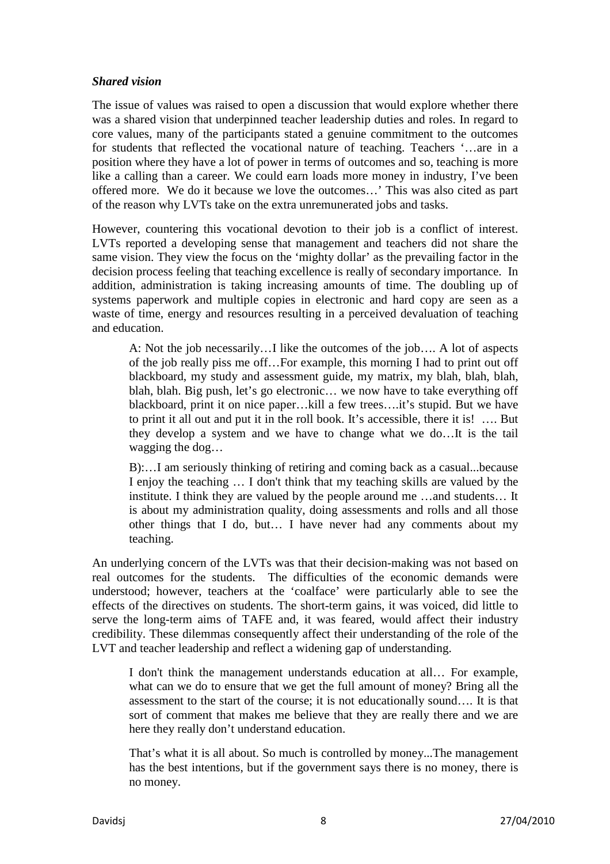#### *Shared vision*

The issue of values was raised to open a discussion that would explore whether there was a shared vision that underpinned teacher leadership duties and roles. In regard to core values, many of the participants stated a genuine commitment to the outcomes for students that reflected the vocational nature of teaching. Teachers '…are in a position where they have a lot of power in terms of outcomes and so, teaching is more like a calling than a career. We could earn loads more money in industry, I've been offered more. We do it because we love the outcomes…' This was also cited as part of the reason why LVTs take on the extra unremunerated jobs and tasks.

However, countering this vocational devotion to their job is a conflict of interest. LVTs reported a developing sense that management and teachers did not share the same vision. They view the focus on the 'mighty dollar' as the prevailing factor in the decision process feeling that teaching excellence is really of secondary importance. In addition, administration is taking increasing amounts of time. The doubling up of systems paperwork and multiple copies in electronic and hard copy are seen as a waste of time, energy and resources resulting in a perceived devaluation of teaching and education.

A: Not the job necessarily…I like the outcomes of the job…. A lot of aspects of the job really piss me off…For example, this morning I had to print out off blackboard, my study and assessment guide, my matrix, my blah, blah, blah, blah, blah. Big push, let's go electronic… we now have to take everything off blackboard, print it on nice paper…kill a few trees….it's stupid. But we have to print it all out and put it in the roll book. It's accessible, there it is! …. But they develop a system and we have to change what we do…It is the tail wagging the dog…

B):…I am seriously thinking of retiring and coming back as a casual...because I enjoy the teaching … I don't think that my teaching skills are valued by the institute. I think they are valued by the people around me …and students… It is about my administration quality, doing assessments and rolls and all those other things that I do, but… I have never had any comments about my teaching.

An underlying concern of the LVTs was that their decision-making was not based on real outcomes for the students. The difficulties of the economic demands were understood; however, teachers at the 'coalface' were particularly able to see the effects of the directives on students. The short-term gains, it was voiced, did little to serve the long-term aims of TAFE and, it was feared, would affect their industry credibility. These dilemmas consequently affect their understanding of the role of the LVT and teacher leadership and reflect a widening gap of understanding.

I don't think the management understands education at all… For example, what can we do to ensure that we get the full amount of money? Bring all the assessment to the start of the course; it is not educationally sound…. It is that sort of comment that makes me believe that they are really there and we are here they really don't understand education.

That's what it is all about. So much is controlled by money...The management has the best intentions, but if the government says there is no money, there is no money.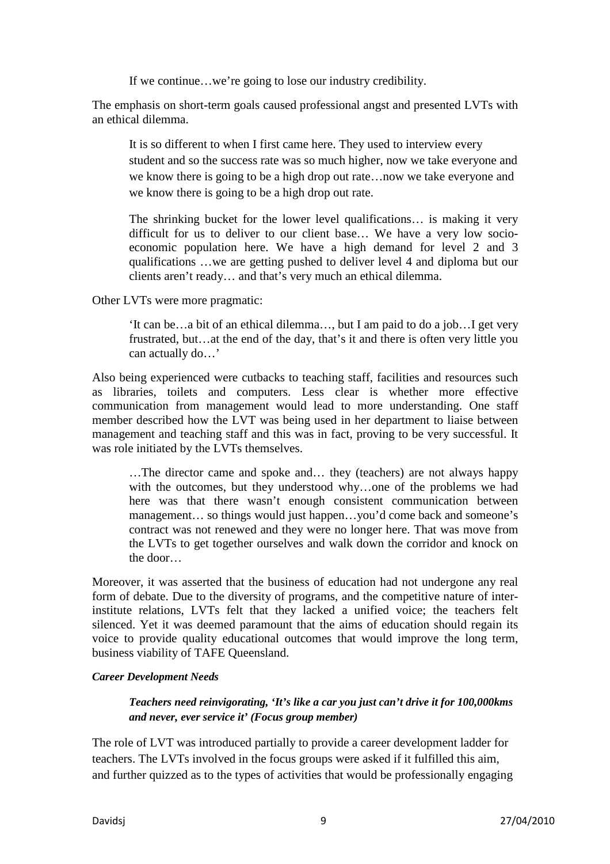If we continue…we're going to lose our industry credibility.

The emphasis on short-term goals caused professional angst and presented LVTs with an ethical dilemma.

It is so different to when I first came here. They used to interview every student and so the success rate was so much higher, now we take everyone and we know there is going to be a high drop out rate…now we take everyone and we know there is going to be a high drop out rate.

The shrinking bucket for the lower level qualifications… is making it very difficult for us to deliver to our client base… We have a very low socioeconomic population here. We have a high demand for level 2 and 3 qualifications …we are getting pushed to deliver level 4 and diploma but our clients aren't ready… and that's very much an ethical dilemma.

Other LVTs were more pragmatic:

'It can be…a bit of an ethical dilemma…, but I am paid to do a job…I get very frustrated, but…at the end of the day, that's it and there is often very little you can actually do…'

Also being experienced were cutbacks to teaching staff, facilities and resources such as libraries, toilets and computers. Less clear is whether more effective communication from management would lead to more understanding. One staff member described how the LVT was being used in her department to liaise between management and teaching staff and this was in fact, proving to be very successful. It was role initiated by the LVTs themselves.

…The director came and spoke and… they (teachers) are not always happy with the outcomes, but they understood why…one of the problems we had here was that there wasn't enough consistent communication between management… so things would just happen…you'd come back and someone's contract was not renewed and they were no longer here. That was move from the LVTs to get together ourselves and walk down the corridor and knock on the door…

Moreover, it was asserted that the business of education had not undergone any real form of debate. Due to the diversity of programs, and the competitive nature of interinstitute relations, LVTs felt that they lacked a unified voice; the teachers felt silenced. Yet it was deemed paramount that the aims of education should regain its voice to provide quality educational outcomes that would improve the long term, business viability of TAFE Queensland.

#### *Career Development Needs*

*Teachers need reinvigorating, 'It's like a car you just can't drive it for 100,000kms and never, ever service it' (Focus group member)* 

The role of LVT was introduced partially to provide a career development ladder for teachers. The LVTs involved in the focus groups were asked if it fulfilled this aim, and further quizzed as to the types of activities that would be professionally engaging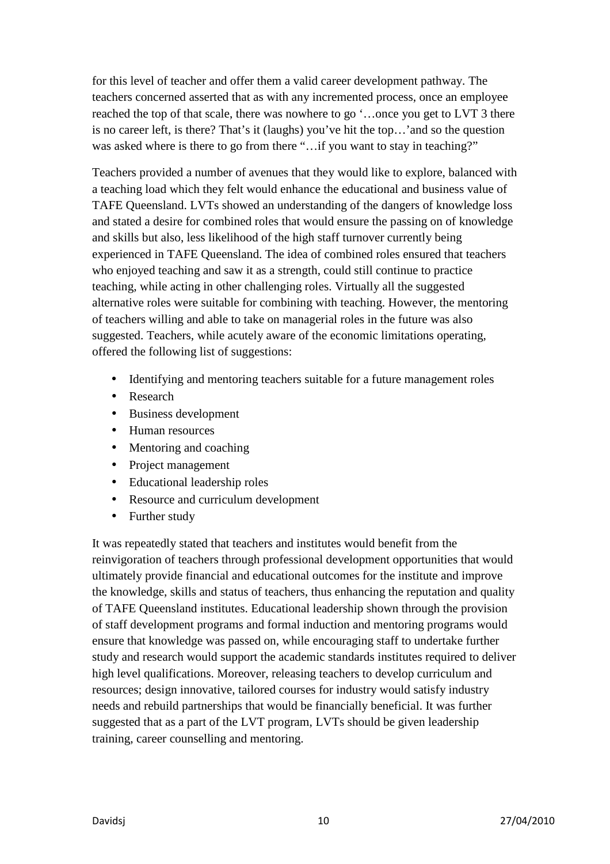for this level of teacher and offer them a valid career development pathway. The teachers concerned asserted that as with any incremented process, once an employee reached the top of that scale, there was nowhere to go '…once you get to LVT 3 there is no career left, is there? That's it (laughs) you've hit the top…'and so the question was asked where is there to go from there "...if you want to stay in teaching?"

Teachers provided a number of avenues that they would like to explore, balanced with a teaching load which they felt would enhance the educational and business value of TAFE Queensland. LVTs showed an understanding of the dangers of knowledge loss and stated a desire for combined roles that would ensure the passing on of knowledge and skills but also, less likelihood of the high staff turnover currently being experienced in TAFE Queensland. The idea of combined roles ensured that teachers who enjoyed teaching and saw it as a strength, could still continue to practice teaching, while acting in other challenging roles. Virtually all the suggested alternative roles were suitable for combining with teaching. However, the mentoring of teachers willing and able to take on managerial roles in the future was also suggested. Teachers, while acutely aware of the economic limitations operating, offered the following list of suggestions:

- Identifying and mentoring teachers suitable for a future management roles
- Research
- Business development
- Human resources
- Mentoring and coaching
- Project management
- Educational leadership roles
- Resource and curriculum development
- Further study

It was repeatedly stated that teachers and institutes would benefit from the reinvigoration of teachers through professional development opportunities that would ultimately provide financial and educational outcomes for the institute and improve the knowledge, skills and status of teachers, thus enhancing the reputation and quality of TAFE Queensland institutes. Educational leadership shown through the provision of staff development programs and formal induction and mentoring programs would ensure that knowledge was passed on, while encouraging staff to undertake further study and research would support the academic standards institutes required to deliver high level qualifications. Moreover, releasing teachers to develop curriculum and resources; design innovative, tailored courses for industry would satisfy industry needs and rebuild partnerships that would be financially beneficial. It was further suggested that as a part of the LVT program, LVTs should be given leadership training, career counselling and mentoring.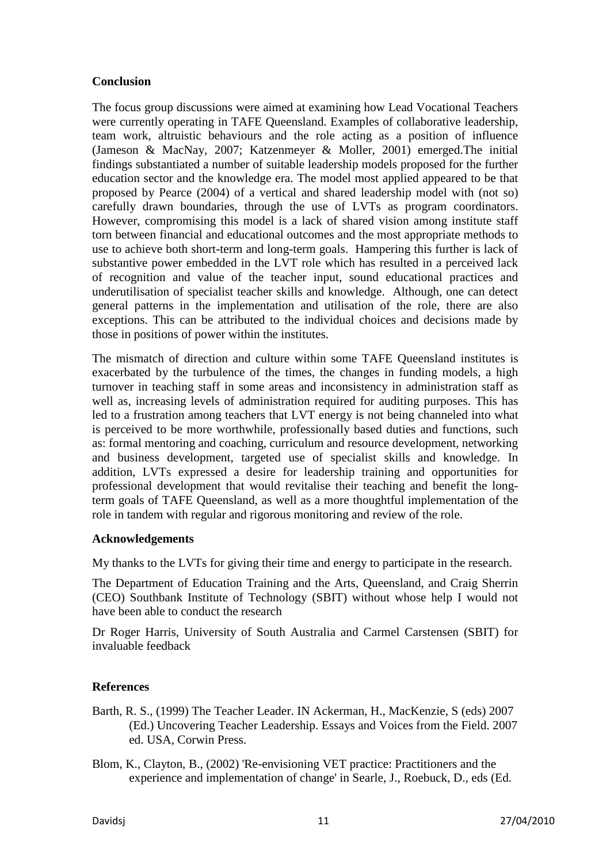## **Conclusion**

The focus group discussions were aimed at examining how Lead Vocational Teachers were currently operating in TAFE Queensland. Examples of collaborative leadership, team work, altruistic behaviours and the role acting as a position of influence (Jameson & MacNay, 2007; Katzenmeyer & Moller, 2001) emerged.The initial findings substantiated a number of suitable leadership models proposed for the further education sector and the knowledge era. The model most applied appeared to be that proposed by Pearce (2004) of a vertical and shared leadership model with (not so) carefully drawn boundaries, through the use of LVTs as program coordinators. However, compromising this model is a lack of shared vision among institute staff torn between financial and educational outcomes and the most appropriate methods to use to achieve both short-term and long-term goals. Hampering this further is lack of substantive power embedded in the LVT role which has resulted in a perceived lack of recognition and value of the teacher input, sound educational practices and underutilisation of specialist teacher skills and knowledge. Although, one can detect general patterns in the implementation and utilisation of the role, there are also exceptions. This can be attributed to the individual choices and decisions made by those in positions of power within the institutes.

The mismatch of direction and culture within some TAFE Queensland institutes is exacerbated by the turbulence of the times, the changes in funding models, a high turnover in teaching staff in some areas and inconsistency in administration staff as well as, increasing levels of administration required for auditing purposes. This has led to a frustration among teachers that LVT energy is not being channeled into what is perceived to be more worthwhile, professionally based duties and functions, such as: formal mentoring and coaching, curriculum and resource development, networking and business development, targeted use of specialist skills and knowledge. In addition, LVTs expressed a desire for leadership training and opportunities for professional development that would revitalise their teaching and benefit the longterm goals of TAFE Queensland, as well as a more thoughtful implementation of the role in tandem with regular and rigorous monitoring and review of the role.

# **Acknowledgements**

My thanks to the LVTs for giving their time and energy to participate in the research.

The Department of Education Training and the Arts, Queensland, and Craig Sherrin (CEO) Southbank Institute of Technology (SBIT) without whose help I would not have been able to conduct the research

Dr Roger Harris, University of South Australia and Carmel Carstensen (SBIT) for invaluable feedback

# **References**

- Barth, R. S., (1999) The Teacher Leader. IN Ackerman, H., MacKenzie, S (eds) 2007 (Ed.) Uncovering Teacher Leadership. Essays and Voices from the Field. 2007 ed. USA, Corwin Press.
- Blom, K., Clayton, B., (2002) 'Re-envisioning VET practice: Practitioners and the experience and implementation of change' in Searle, J., Roebuck, D., eds (Ed.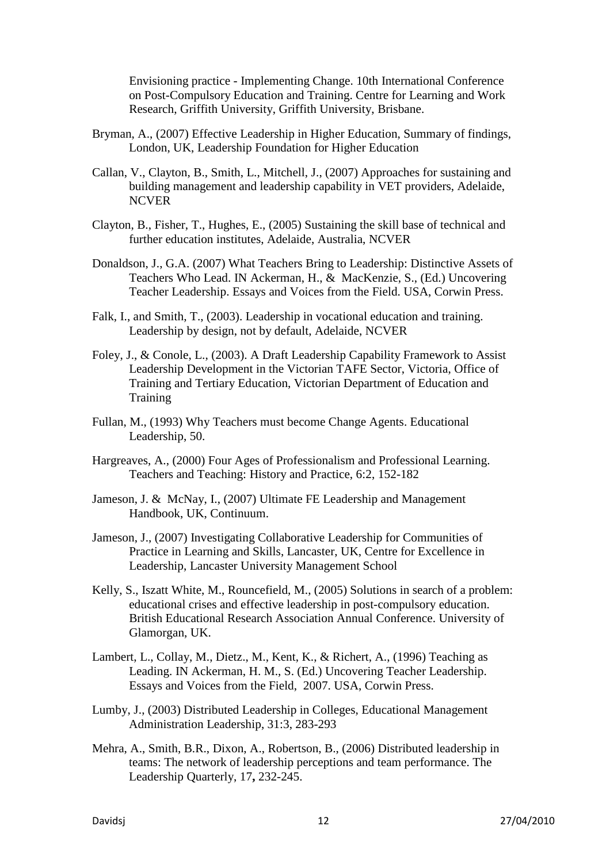Envisioning practice - Implementing Change. 10th International Conference on Post-Compulsory Education and Training. Centre for Learning and Work Research, Griffith University, Griffith University, Brisbane.

- Bryman, A., (2007) Effective Leadership in Higher Education, Summary of findings, London, UK, Leadership Foundation for Higher Education
- Callan, V., Clayton, B., Smith, L., Mitchell, J., (2007) Approaches for sustaining and building management and leadership capability in VET providers, Adelaide, NCVER
- Clayton, B., Fisher, T., Hughes, E., (2005) Sustaining the skill base of technical and further education institutes, Adelaide, Australia, NCVER
- Donaldson, J., G.A. (2007) What Teachers Bring to Leadership: Distinctive Assets of Teachers Who Lead. IN Ackerman, H., & MacKenzie, S., (Ed.) Uncovering Teacher Leadership. Essays and Voices from the Field. USA, Corwin Press.
- Falk, I., and Smith, T., (2003). Leadership in vocational education and training. Leadership by design, not by default, Adelaide, NCVER
- Foley, J., & Conole, L., (2003). A Draft Leadership Capability Framework to Assist Leadership Development in the Victorian TAFE Sector, Victoria, Office of Training and Tertiary Education, Victorian Department of Education and **Training**
- Fullan, M., (1993) Why Teachers must become Change Agents. Educational Leadership, 50.
- Hargreaves, A., (2000) Four Ages of Professionalism and Professional Learning. Teachers and Teaching: History and Practice, 6:2, 152-182
- Jameson, J. & McNay, I., (2007) Ultimate FE Leadership and Management Handbook, UK, Continuum.
- Jameson, J., (2007) Investigating Collaborative Leadership for Communities of Practice in Learning and Skills, Lancaster, UK, Centre for Excellence in Leadership, Lancaster University Management School
- Kelly, S., Iszatt White, M., Rouncefield, M., (2005) Solutions in search of a problem: educational crises and effective leadership in post-compulsory education. British Educational Research Association Annual Conference. University of Glamorgan, UK.
- Lambert, L., Collay, M., Dietz., M., Kent, K., & Richert, A., (1996) Teaching as Leading. IN Ackerman, H. M., S. (Ed.) Uncovering Teacher Leadership. Essays and Voices from the Field, 2007. USA, Corwin Press.
- Lumby, J., (2003) Distributed Leadership in Colleges, Educational Management Administration Leadership, 31:3, 283-293
- Mehra, A., Smith, B.R., Dixon, A., Robertson, B., (2006) Distributed leadership in teams: The network of leadership perceptions and team performance. The Leadership Quarterly, 17**,** 232-245.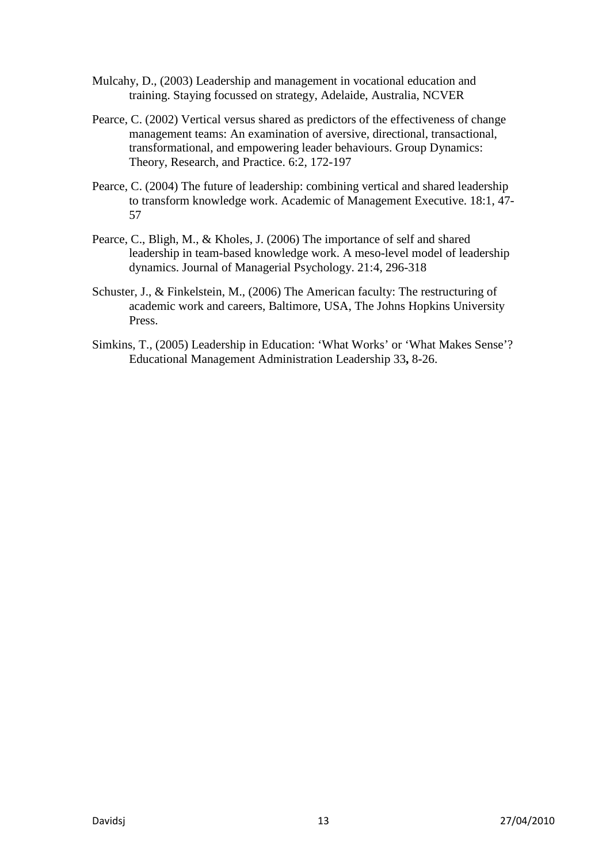- Mulcahy, D., (2003) Leadership and management in vocational education and training. Staying focussed on strategy, Adelaide, Australia, NCVER
- Pearce, C. (2002) Vertical versus shared as predictors of the effectiveness of change management teams: An examination of aversive, directional, transactional, transformational, and empowering leader behaviours. Group Dynamics: Theory, Research, and Practice. 6:2, 172-197
- Pearce, C. (2004) The future of leadership: combining vertical and shared leadership to transform knowledge work. Academic of Management Executive. 18:1, 47- 57
- Pearce, C., Bligh, M., & Kholes, J. (2006) The importance of self and shared leadership in team-based knowledge work. A meso-level model of leadership dynamics. Journal of Managerial Psychology. 21:4, 296-318
- Schuster, J., & Finkelstein, M., (2006) The American faculty: The restructuring of academic work and careers, Baltimore, USA, The Johns Hopkins University Press.
- Simkins, T., (2005) Leadership in Education: 'What Works' or 'What Makes Sense'? Educational Management Administration Leadership 33**,** 8-26.